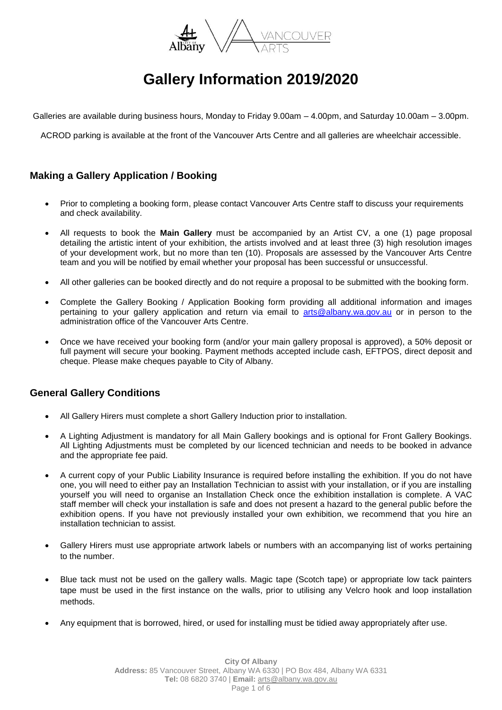

# **Gallery Information 2019/2020**

Galleries are available during business hours, Monday to Friday 9.00am – 4.00pm, and Saturday 10.00am – 3.00pm.

ACROD parking is available at the front of the Vancouver Arts Centre and all galleries are wheelchair accessible.

## **Making a Gallery Application / Booking**

- Prior to completing a booking form, please contact Vancouver Arts Centre staff to discuss your requirements and check availability.
- All requests to book the **Main Gallery** must be accompanied by an Artist CV, a one (1) page proposal detailing the artistic intent of your exhibition, the artists involved and at least three (3) high resolution images of your development work, but no more than ten (10). Proposals are assessed by the Vancouver Arts Centre team and you will be notified by email whether your proposal has been successful or unsuccessful.
- All other galleries can be booked directly and do not require a proposal to be submitted with the booking form.
- Complete the Gallery Booking / Application Booking form providing all additional information and images pertaining to your gallery application and return via email to [arts@albany.wa.gov.au](mailto:arts@albany.wa.gov.au) or in person to the administration office of the Vancouver Arts Centre.
- Once we have received your booking form (and/or your main gallery proposal is approved), a 50% deposit or full payment will secure your booking. Payment methods accepted include cash, EFTPOS, direct deposit and cheque. Please make cheques payable to City of Albany.

## **General Gallery Conditions**

- All Gallery Hirers must complete a short Gallery Induction prior to installation.
- A Lighting Adjustment is mandatory for all Main Gallery bookings and is optional for Front Gallery Bookings. All Lighting Adjustments must be completed by our licenced technician and needs to be booked in advance and the appropriate fee paid.
- A current copy of your Public Liability Insurance is required before installing the exhibition. If you do not have one, you will need to either pay an Installation Technician to assist with your installation, or if you are installing yourself you will need to organise an Installation Check once the exhibition installation is complete. A VAC staff member will check your installation is safe and does not present a hazard to the general public before the exhibition opens. If you have not previously installed your own exhibition, we recommend that you hire an installation technician to assist.
- Gallery Hirers must use appropriate artwork labels or numbers with an accompanying list of works pertaining to the number.
- Blue tack must not be used on the gallery walls. Magic tape (Scotch tape) or appropriate low tack painters tape must be used in the first instance on the walls, prior to utilising any Velcro hook and loop installation methods.
- Any equipment that is borrowed, hired, or used for installing must be tidied away appropriately after use.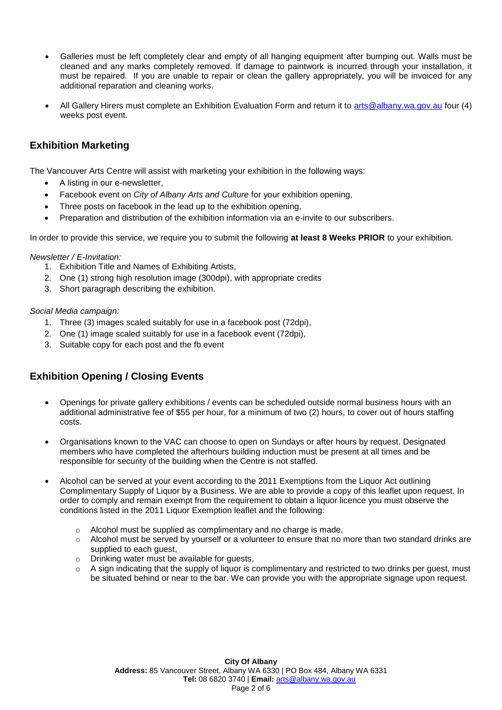- Galleries must be left completely clear and empty of all hanging equipment after bumping out. Walls must be cleaned and any marks completely removed. If damage to paintwork is incurred through your installation, it must be repaired. If you are unable to repair or clean the gallery appropriately, you will be invoiced for any additional reparation and cleaning works.
- All Gallery Hirers must complete an Exhibition Evaluation Form and return it to [arts@albany.wa.gov.au](mailto:arts@albany.wa.gov.au) four (4) weeks post event.

## **Exhibition Marketing**

The Vancouver Arts Centre will assist with marketing your exhibition in the following ways:

- A listing in our e-newsletter,
- Facebook event on *City of Albany Arts and Culture* for your exhibition opening,
- Three posts on facebook in the lead up to the exhibition opening,
- Preparation and distribution of the exhibition information via an e-invite to our subscribers.

In order to provide this service, we require you to submit the following **at least 8 Weeks PRIOR** to your exhibition.

#### *Newsletter / E-Invitation:*

- 1. Exhibition Title and Names of Exhibiting Artists,
- 2. One (1) strong high resolution image (300dpi), with appropriate credits
- 3. Short paragraph describing the exhibition.

#### *Social Media campaign:*

- 1. Three (3) images scaled suitably for use in a facebook post (72dpi),
- 2. One (1) image scaled suitably for use in a facebook event (72dpi),
- 3. Suitable copy for each post and the fb event

## **Exhibition Opening / Closing Events**

- Openings for private gallery exhibitions / events can be scheduled outside normal business hours with an additional administrative fee of \$55 per hour, for a minimum of two (2) hours, to cover out of hours staffing costs.
- Organisations known to the VAC can choose to open on Sundays or after hours by request. Designated members who have completed the afterhours building induction must be present at all times and be responsible for security of the building when the Centre is not staffed.
- Alcohol can be served at your event according to the 2011 Exemptions from the Liquor Act outlining Complimentary Supply of Liquor by a Business. We are able to provide a copy of this leaflet upon request. In order to comply and remain exempt from the requirement to obtain a liquor licence you must observe the conditions listed in the 2011 Liquor Exemption leaflet and the following:
	- o Alcohol must be supplied as complimentary and no charge is made,
	- o Alcohol must be served by yourself or a volunteer to ensure that no more than two standard drinks are supplied to each guest,
	- o Drinking water must be available for guests,
	- o A sign indicating that the supply of liquor is complimentary and restricted to two drinks per guest, must be situated behind or near to the bar. We can provide you with the appropriate signage upon request.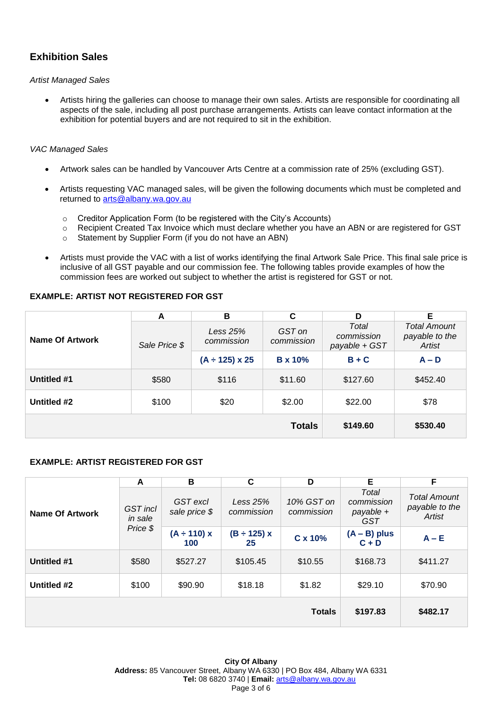# **Exhibition Sales**

#### *Artist Managed Sales*

 Artists hiring the galleries can choose to manage their own sales. Artists are responsible for coordinating all aspects of the sale, including all post purchase arrangements. Artists can leave contact information at the exhibition for potential buyers and are not required to sit in the exhibition.

### *VAC Managed Sales*

- Artwork sales can be handled by Vancouver Arts Centre at a commission rate of 25% (excluding GST).
- Artists requesting VAC managed sales, will be given the following documents which must be completed and returned to [arts@albany.wa.gov.au](mailto:arts@albany.wa.gov.au)
	- o Creditor Application Form (to be registered with the City's Accounts)
	- o Recipient Created Tax Invoice which must declare whether you have an ABN or are registered for GST
	- o Statement by Supplier Form (if you do not have an ABN)
- Artists must provide the VAC with a list of works identifying the final Artwork Sale Price. This final sale price is inclusive of all GST payable and our commission fee. The following tables provide examples of how the commission fees are worked out subject to whether the artist is registered for GST or not.

## **EXAMPLE: ARTIST NOT REGISTERED FOR GST**

| Name Of Artwork | A             | в                        | C                    | D                                    | Е                                               |
|-----------------|---------------|--------------------------|----------------------|--------------------------------------|-------------------------------------------------|
|                 | Sale Price \$ | Less $25%$<br>commission | GST on<br>commission | Total<br>commission<br>payable + GST | <b>Total Amount</b><br>payable to the<br>Artist |
|                 |               | $(A \div 125) \times 25$ | <b>B</b> x 10%       | $B + C$                              | $A - D$                                         |
| Untitled #1     | \$580         | \$116                    | \$11.60              | \$127.60                             | \$452.40                                        |
| Untitled #2     | \$100         | \$20                     | \$2.00               | \$22.00                              | \$78                                            |
|                 |               |                          | <b>Totals</b>        | \$149.60                             | \$530.40                                        |

#### **EXAMPLE: ARTIST REGISTERED FOR GST**

|                             | A                          | В                         | C                        | D                        | Е                                              | F                                               |
|-----------------------------|----------------------------|---------------------------|--------------------------|--------------------------|------------------------------------------------|-------------------------------------------------|
| Name Of Artwork<br>Price \$ | <b>GST</b> incl<br>in sale | GST excl<br>sale price \$ | Less $25%$<br>commission | 10% GST on<br>commission | Total<br>commission<br>payable +<br><b>GST</b> | <b>Total Amount</b><br>payable to the<br>Artist |
|                             |                            | $(A \div 110) x$<br>100   | $(B \div 125) x$<br>25   | C x 10%                  | $(A - B)$ plus<br>$C + D$                      | $A - E$                                         |
| Untitled #1                 | \$580                      | \$527.27                  | \$105.45                 | \$10.55                  | \$168.73                                       | \$411.27                                        |
| Untitled #2                 | \$100                      | \$90.90                   | \$18.18                  | \$1.82                   | \$29.10                                        | \$70.90                                         |
|                             |                            |                           |                          | <b>Totals</b>            | \$197.83                                       | \$482.17                                        |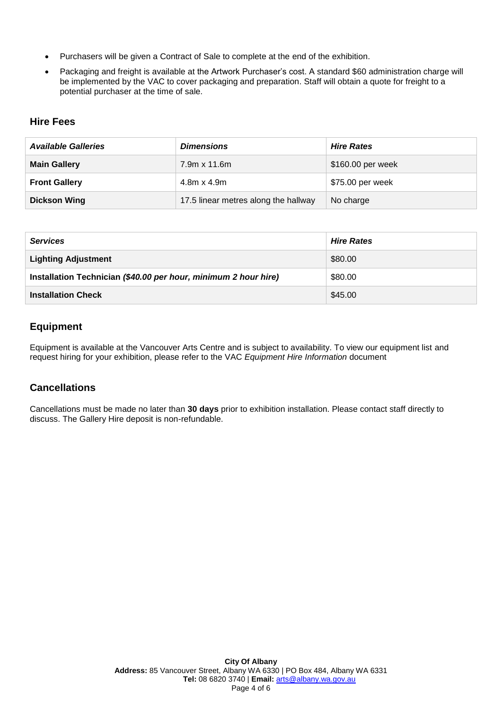- Purchasers will be given a Contract of Sale to complete at the end of the exhibition.
- Packaging and freight is available at the Artwork Purchaser's cost. A standard \$60 administration charge will be implemented by the VAC to cover packaging and preparation. Staff will obtain a quote for freight to a potential purchaser at the time of sale.

## **Hire Fees**

| <b>Available Galleries</b> | <b>Dimensions</b>                    | <b>Hire Rates</b> |
|----------------------------|--------------------------------------|-------------------|
| <b>Main Gallery</b>        | $7.9m \times 11.6m$                  | \$160.00 per week |
| <b>Front Gallery</b>       | $4.8m \times 4.9m$                   | \$75.00 per week  |
| <b>Dickson Wing</b>        | 17.5 linear metres along the hallway | No charge         |

| <b>Services</b>                                                 | <b>Hire Rates</b> |
|-----------------------------------------------------------------|-------------------|
| <b>Lighting Adjustment</b>                                      | \$80.00           |
| Installation Technician (\$40.00 per hour, minimum 2 hour hire) | \$80.00           |
| <b>Installation Check</b>                                       | \$45.00           |

## **Equipment**

Equipment is available at the Vancouver Arts Centre and is subject to availability. To view our equipment list and request hiring for your exhibition, please refer to the VAC *Equipment Hire Information* document

## **Cancellations**

Cancellations must be made no later than **30 days** prior to exhibition installation. Please contact staff directly to discuss. The Gallery Hire deposit is non-refundable.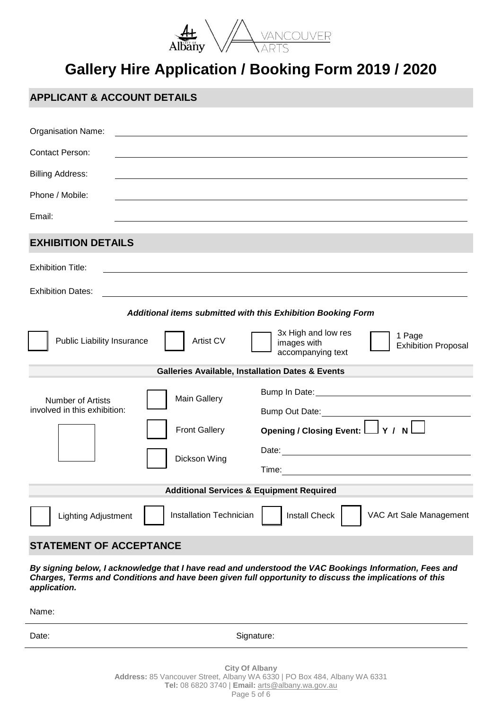

# **Gallery Hire Application / Booking Form 2019 / 2020**

# **APPLICANT & ACCOUNT DETAILS**

| <b>Organisation Name:</b>                                                       |                                                                                                                                                                                                                                                        |  |  |  |
|---------------------------------------------------------------------------------|--------------------------------------------------------------------------------------------------------------------------------------------------------------------------------------------------------------------------------------------------------|--|--|--|
| <b>Contact Person:</b>                                                          |                                                                                                                                                                                                                                                        |  |  |  |
| <b>Billing Address:</b>                                                         |                                                                                                                                                                                                                                                        |  |  |  |
| Phone / Mobile:                                                                 |                                                                                                                                                                                                                                                        |  |  |  |
| Email:                                                                          |                                                                                                                                                                                                                                                        |  |  |  |
| <b>EXHIBITION DETAILS</b>                                                       |                                                                                                                                                                                                                                                        |  |  |  |
| <b>Exhibition Title:</b>                                                        |                                                                                                                                                                                                                                                        |  |  |  |
| <b>Exhibition Dates:</b>                                                        |                                                                                                                                                                                                                                                        |  |  |  |
|                                                                                 | Additional items submitted with this Exhibition Booking Form                                                                                                                                                                                           |  |  |  |
| Artist CV<br><b>Public Liability Insurance</b>                                  | 3x High and low res<br>1 Page<br>images with<br><b>Exhibition Proposal</b><br>accompanying text                                                                                                                                                        |  |  |  |
| <b>Galleries Available, Installation Dates &amp; Events</b>                     |                                                                                                                                                                                                                                                        |  |  |  |
| <b>Main Gallery</b><br><b>Number of Artists</b><br>involved in this exhibition: | Bump In Date: <u>contract and the set of the set of the set of the set of the set of the set of the set of the set of the set of the set of the set of the set of the set of the set of the set of the set of the set of the set</u><br>Bump Out Date: |  |  |  |
| <b>Front Gallery</b>                                                            | Opening / Closing Event: $\Box Y$ / N $\Box$                                                                                                                                                                                                           |  |  |  |
| Dickson Wing                                                                    | Date: the contract of the contract of the contract of the contract of the contract of the contract of the contract of the contract of the contract of the contract of the contract of the contract of the contract of the cont                         |  |  |  |
| <b>Additional Services &amp; Equipment Required</b>                             |                                                                                                                                                                                                                                                        |  |  |  |
| <b>Installation Technician</b><br><b>Lighting Adjustment</b>                    | <b>Install Check</b><br>VAC Art Sale Management                                                                                                                                                                                                        |  |  |  |
| <b>STATEMENT OF ACCEPTANCE</b>                                                  |                                                                                                                                                                                                                                                        |  |  |  |

*By signing below, I acknowledge that I have read and understood the VAC Bookings Information, Fees and Charges, Terms and Conditions and have been given full opportunity to discuss the implications of this application.*

Name:

Date: Signature: Signature: Signature: Signature: Signature: Signature: Signature: Signature: Signature: Signature: Signature: Signature: Signature: Signature: Signature: Signature: Signature: Signature: Signature: Signatu